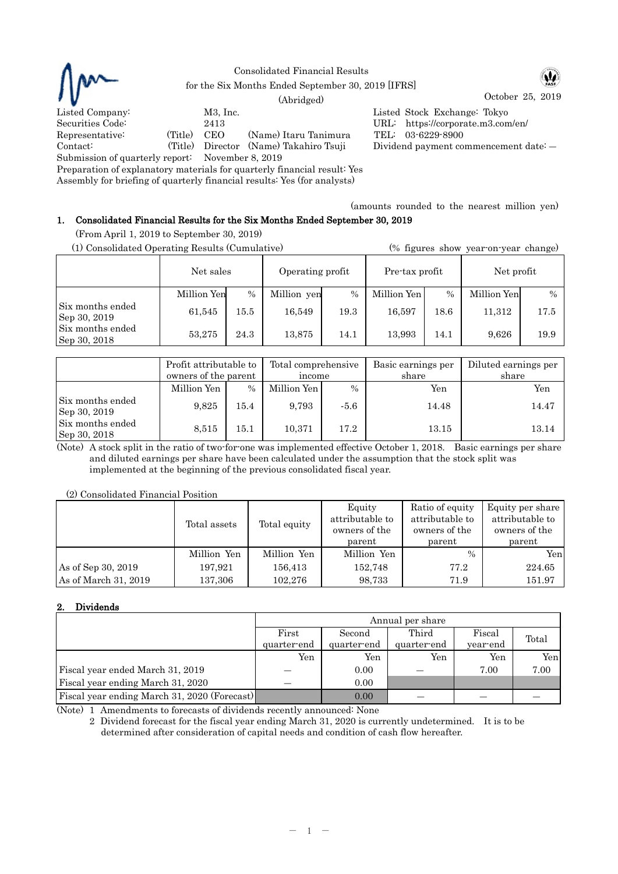

### Consolidated Financial Results for the Six Months Ended September 30, 2019 [IFRS]

October 25, 2019 (Abridged)

Listed Company: M3, Inc. Listed Stock Exchange: Tokyo Securities Code: 2413 URL: https://corporate.m3.com/en/ Representative: (Title) CEO (Name) Itaru Tanimura TEL: 03-6229-8900<br>Contact: (Title) Director (Name) Takahiro Tsuji Dividend payment co Contact: (Title) Director (Name) Takahiro Tsuji Dividend payment commencement date: ―

Submission of quarterly report: November 8, 2019

Preparation of explanatory materials for quarterly financial result: Yes

Assembly for briefing of quarterly financial results: Yes (for analysts)

(amounts rounded to the nearest million yen)

# 1. Consolidated Financial Results for the Six Months Ended September 30, 2019

(From April 1, 2019 to September 30, 2019)

| (1) Consolidated Operating Results (Cumulative) |             |      |                  |               | (% figures show year-on-year change) |      |              |               |
|-------------------------------------------------|-------------|------|------------------|---------------|--------------------------------------|------|--------------|---------------|
|                                                 | Net sales   |      | Operating profit |               | Pre-tax profit                       |      | Net profit   |               |
|                                                 | Million Yen | $\%$ | Million yen      | $\frac{0}{0}$ | Million Yen                          | $\%$ | Million Yenl | $\frac{0}{0}$ |
| Six months ended<br>Sep 30, 2019                | 61,545      | 15.5 | 16,549           | 19.3          | 16,597                               | 18.6 | 11,312       | 17.5          |
| Six months ended<br>Sep 30, 2018                | 53,275      | 24.3 | 13,875           | 14.1          | 13.993                               | 14.1 | 9,626        | 19.9          |

|                                  | Profit attributable to<br>owners of the parent |      | Total comprehensive<br>income |        | Basic earnings per<br>share | Diluted earnings per<br>share |  |
|----------------------------------|------------------------------------------------|------|-------------------------------|--------|-----------------------------|-------------------------------|--|
|                                  | Million Yen                                    | $\%$ | Million Yen                   | $\%$   | Yen                         | Yen                           |  |
| Six months ended<br>Sep 30, 2019 | 9,825                                          | 15.4 | 9,793                         | $-5.6$ | 14.48                       | 14.47                         |  |
| Six months ended<br>Sep 30, 2018 | 8,515                                          | 15.1 | 10,371                        | 17.2   | 13.15                       | 13.14                         |  |

(Note) A stock split in the ratio of two-for-one was implemented effective October 1, 2018. Basic earnings per share and diluted earnings per share have been calculated under the assumption that the stock split was implemented at the beginning of the previous consolidated fiscal year.

(2) Consolidated Financial Position

|                      | Total assets | Total equity | Equity<br>attributable to<br>owners of the<br>parent | Ratio of equity<br>attributable to<br>owners of the<br>parent | Equity per share<br>attributable to<br>owners of the<br>parent |
|----------------------|--------------|--------------|------------------------------------------------------|---------------------------------------------------------------|----------------------------------------------------------------|
|                      | Million Yen  | Million Yen  | Million Yen                                          | $\%$                                                          | Yen                                                            |
| As of Sep 30, 2019   | 197,921      | 156,413      | 152,748                                              | 77.2                                                          | 224.65                                                         |
| As of March 31, 2019 | 137,306      | 102.276      | 98,733                                               | 71.9                                                          | 151.97                                                         |

## 2. Dividends

|                                              | Annual per share |             |             |          |       |  |  |
|----------------------------------------------|------------------|-------------|-------------|----------|-------|--|--|
|                                              | First            | Second      | Third       | Fiscal   | Total |  |  |
|                                              | quarter-end      | quarter-end | quarter-end | year-end |       |  |  |
|                                              | Yen              | Yen         | Yen         | Yen      | Yen   |  |  |
| Fiscal year ended March 31, 2019             |                  | 0.00        |             | 7.00     | 7.00  |  |  |
| Fiscal year ending March 31, 2020            |                  | 0.00        |             |          |       |  |  |
| Fiscal year ending March 31, 2020 (Forecast) |                  | 0.00        |             |          |       |  |  |

(Note) 1 Amendments to forecasts of dividends recently announced: None

2 Dividend forecast for the fiscal year ending March 31, 2020 is currently undetermined. It is to be determined after consideration of capital needs and condition of cash flow hereafter.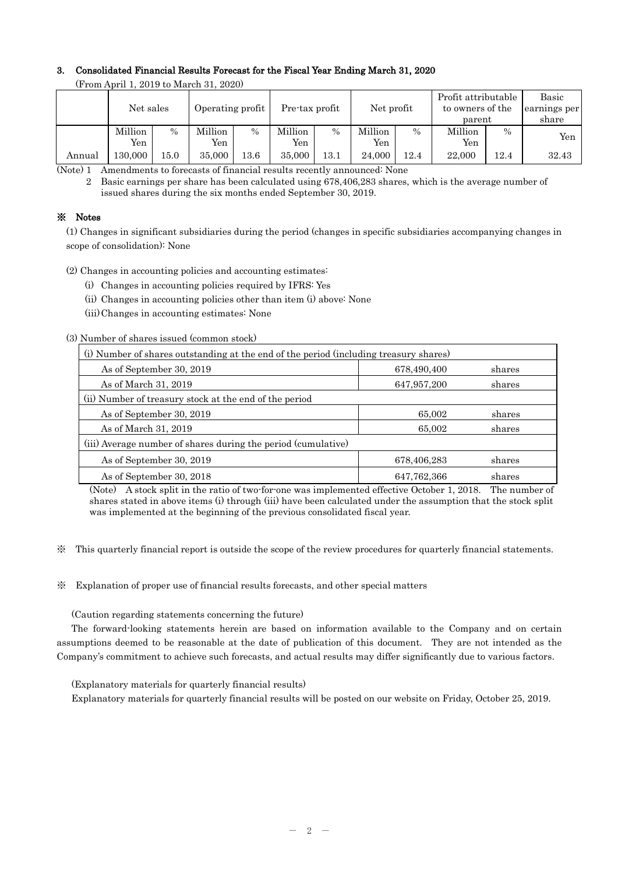## 3. Consolidated Financial Results Forecast for the Fiscal Year Ending March 31, 2020

| $\frac{1}{2}$ . The state of the contract of $\frac{1}{2}$ |           |               |                  |          |                |      |            |               |                     |               |              |
|------------------------------------------------------------|-----------|---------------|------------------|----------|----------------|------|------------|---------------|---------------------|---------------|--------------|
|                                                            |           |               |                  |          |                |      |            |               | Profit attributable |               | Basic        |
|                                                            | Net sales |               | Operating profit |          | Pre-tax profit |      | Net profit |               | to owners of the    |               | earnings per |
|                                                            |           |               |                  |          |                |      |            |               | parent              |               | share        |
|                                                            | Million   | $\frac{0}{0}$ | Million          | $\%$     | Million        | $\%$ | Million    | $\frac{0}{0}$ | Million             | $\frac{0}{0}$ |              |
|                                                            | Yen       |               | Yen              |          | Yen            |      | Yen        |               | Yen                 |               | Yen          |
| Annual                                                     | 130.000   | 15.0          | 35,000           | $13.6\,$ | 35,000         | 13.1 | 24.000     | 12.4          | 22,000              | 12.4          | 32.43        |

(From April 1, 2019 to March 31, 2020)

(Note) 1 Amendments to forecasts of financial results recently announced: None

2 Basic earnings per share has been calculated using 678,406,283 shares, which is the average number of issued shares during the six months ended September 30, 2019.

## ※ Notes

(1) Changes in significant subsidiaries during the period (changes in specific subsidiaries accompanying changes in scope of consolidation): None

(2) Changes in accounting policies and accounting estimates:

- (i) Changes in accounting policies required by IFRS: Yes
- (ii) Changes in accounting policies other than item (i) above: None
- (iii)Changes in accounting estimates: None

(3) Number of shares issued (common stock)

| (i) Number of shares outstanding at the end of the period (including treasury shares) |               |        |  |  |  |
|---------------------------------------------------------------------------------------|---------------|--------|--|--|--|
| As of September 30, 2019                                                              | 678,490,400   | shares |  |  |  |
| As of March 31, 2019                                                                  | 647,957,200   | shares |  |  |  |
| (ii) Number of treasury stock at the end of the period                                |               |        |  |  |  |
| As of September 30, 2019                                                              | 65,002        | shares |  |  |  |
| As of March 31, 2019                                                                  | 65,002        | shares |  |  |  |
| (iii) Average number of shares during the period (cumulative)                         |               |        |  |  |  |
| As of September 30, 2019                                                              | 678,406,283   | shares |  |  |  |
| As of September 30, 2018                                                              | 647, 762, 366 | shares |  |  |  |

(Note) A stock split in the ratio of two-for-one was implemented effective October 1, 2018. The number of shares stated in above items (i) through (iii) have been calculated under the assumption that the stock split was implemented at the beginning of the previous consolidated fiscal year.

※ This quarterly financial report is outside the scope of the review procedures for quarterly financial statements.

※ Explanation of proper use of financial results forecasts, and other special matters

(Caution regarding statements concerning the future)

The forward-looking statements herein are based on information available to the Company and on certain assumptions deemed to be reasonable at the date of publication of this document. They are not intended as the Company's commitment to achieve such forecasts, and actual results may differ significantly due to various factors.

(Explanatory materials for quarterly financial results)

Explanatory materials for quarterly financial results will be posted on our website on Friday, October 25, 2019.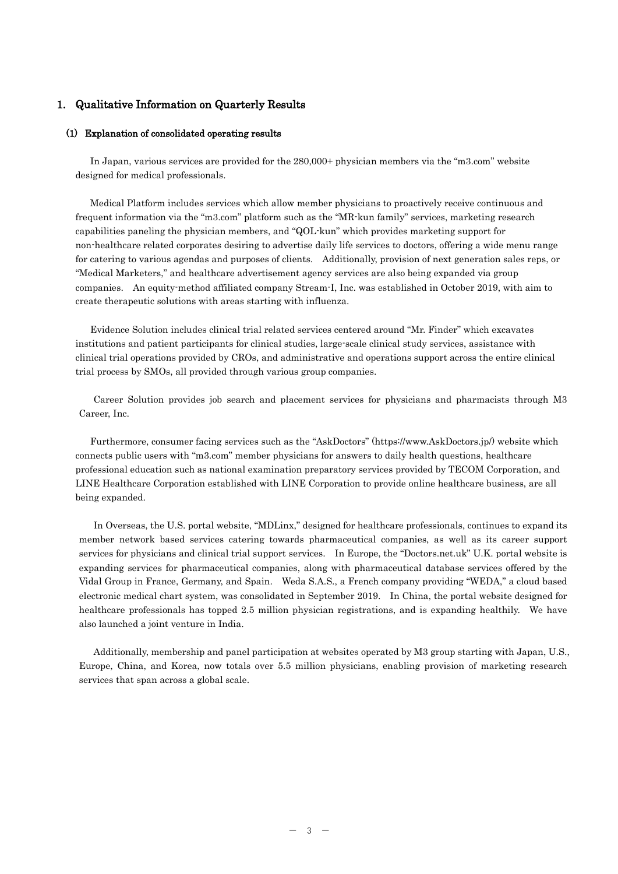#### 1. Qualitative Information on Quarterly Results

#### (1) Explanation of consolidated operating results

In Japan, various services are provided for the 280,000+ physician members via the "m3.com" website designed for medical professionals.

Medical Platform includes services which allow member physicians to proactively receive continuous and frequent information via the "m3.com" platform such as the "MR-kun family" services, marketing research capabilities paneling the physician members, and "QOL-kun" which provides marketing support for non-healthcare related corporates desiring to advertise daily life services to doctors, offering a wide menu range for catering to various agendas and purposes of clients. Additionally, provision of next generation sales reps, or "Medical Marketers," and healthcare advertisement agency services are also being expanded via group companies. An equity-method affiliated company Stream-I, Inc. was established in October 2019, with aim to create therapeutic solutions with areas starting with influenza.

Evidence Solution includes clinical trial related services centered around "Mr. Finder" which excavates institutions and patient participants for clinical studies, large-scale clinical study services, assistance with clinical trial operations provided by CROs, and administrative and operations support across the entire clinical trial process by SMOs, all provided through various group companies.

Career Solution provides job search and placement services for physicians and pharmacists through M3 Career, Inc.

Furthermore, consumer facing services such as the "AskDoctors" (https://www.AskDoctors.jp/) website which connects public users with "m3.com" member physicians for answers to daily health questions, healthcare professional education such as national examination preparatory services provided by TECOM Corporation, and LINE Healthcare Corporation established with LINE Corporation to provide online healthcare business, are all being expanded.

In Overseas, the U.S. portal website, "MDLinx," designed for healthcare professionals, continues to expand its member network based services catering towards pharmaceutical companies, as well as its career support services for physicians and clinical trial support services. In Europe, the "Doctors.net.uk" U.K. portal website is expanding services for pharmaceutical companies, along with pharmaceutical database services offered by the Vidal Group in France, Germany, and Spain. Weda S.A.S., a French company providing "WEDA," a cloud based electronic medical chart system, was consolidated in September 2019. In China, the portal website designed for healthcare professionals has topped 2.5 million physician registrations, and is expanding healthily. We have also launched a joint venture in India.

Additionally, membership and panel participation at websites operated by M3 group starting with Japan, U.S., Europe, China, and Korea, now totals over 5.5 million physicians, enabling provision of marketing research services that span across a global scale.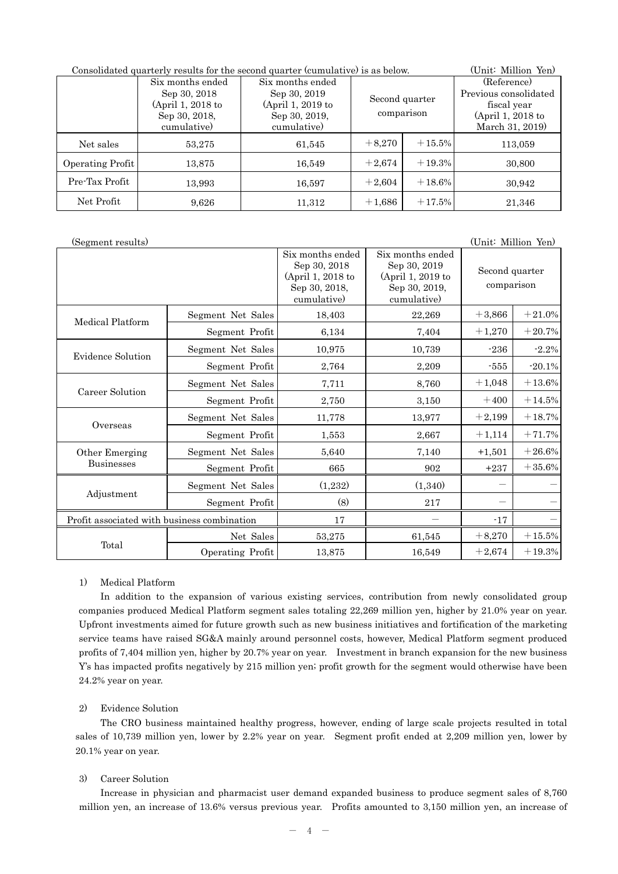| Consolidated quarterly results for the second quarter (cumulative) is as below. | (Unit: Million Yen)                                                                   |                                                                                         |                              |          |                                                                                             |
|---------------------------------------------------------------------------------|---------------------------------------------------------------------------------------|-----------------------------------------------------------------------------------------|------------------------------|----------|---------------------------------------------------------------------------------------------|
|                                                                                 | Six months ended<br>Sep 30, 2018<br>(April 1, 2018 to<br>Sep 30, 2018,<br>cumulative) | Six months ended<br>Sep 30, 2019<br>$(April 1, 2019$ to<br>Sep 30, 2019,<br>cumulative) | Second quarter<br>comparison |          | (Reference)<br>Previous consolidated<br>fiscal year<br>(April 1, 2018 to<br>March 31, 2019) |
| Net sales                                                                       | 53,275                                                                                | 61,545                                                                                  | $+8,270$                     | $+15.5%$ | 113,059                                                                                     |
| Operating Profit                                                                | 13,875                                                                                | 16,549                                                                                  | $+2,674$                     | $+19.3%$ | 30,800                                                                                      |
| Pre-Tax Profit                                                                  | 13,993                                                                                | 16,597                                                                                  | $+2,604$                     | $+18.6%$ | 30,942                                                                                      |
| Net Profit                                                                      | 9,626                                                                                 | 11,312                                                                                  | $+1,686$                     | $+17.5%$ | 21,346                                                                                      |

| (Segment results)                           |                   |                                                                                       |                                                                                       | (Unit: Million Yen)          |           |
|---------------------------------------------|-------------------|---------------------------------------------------------------------------------------|---------------------------------------------------------------------------------------|------------------------------|-----------|
|                                             |                   | Six months ended<br>Sep 30, 2018<br>(April 1, 2018 to<br>Sep 30, 2018,<br>cumulative) | Six months ended<br>Sep 30, 2019<br>(April 1, 2019 to<br>Sep 30, 2019,<br>cumulative) | Second quarter<br>comparison |           |
| Medical Platform                            | Segment Net Sales | 18,403                                                                                | 22,269                                                                                | $+3,866$                     | $+21.0%$  |
|                                             | Segment Profit    | 6,134                                                                                 | 7,404                                                                                 | $+1,270$                     | $+20.7%$  |
| Evidence Solution                           | Segment Net Sales | 10,975                                                                                | 10,739                                                                                | $-236$                       | $-2.2%$   |
|                                             | Segment Profit    | 2,764                                                                                 | 2,209                                                                                 | $-555$                       | $-20.1%$  |
|                                             | Segment Net Sales | 7,711                                                                                 | 8,760                                                                                 | $+1,048$                     | $+13.6%$  |
| Career Solution                             | Segment Profit    | 2,750                                                                                 | 3,150                                                                                 | $+400$                       | $+14.5%$  |
|                                             | Segment Net Sales | 11,778                                                                                | 13,977                                                                                | $+2,199$                     | $+18.7%$  |
| Overseas                                    | Segment Profit    | 1,553                                                                                 | 2,667                                                                                 | $+1,114$                     | $+71.7%$  |
| Other Emerging                              | Segment Net Sales | 5,640                                                                                 | 7,140                                                                                 | $+1,501$                     | $+26.6%$  |
| <b>Businesses</b>                           | Segment Profit    | 665                                                                                   | 902                                                                                   | $+237$                       | $+35.6%$  |
|                                             | Segment Net Sales | (1,232)                                                                               | (1,340)                                                                               |                              |           |
| Adjustment                                  | Segment Profit    | (8)                                                                                   | 217                                                                                   |                              |           |
| Profit associated with business combination |                   | 17                                                                                    |                                                                                       | $-17$                        |           |
|                                             | Net Sales         | 53,275                                                                                | 61,545                                                                                | $+8,270$                     | $+15.5\%$ |
| Total                                       | Operating Profit  | 13,875                                                                                | 16,549                                                                                | $+2,674$                     | $+19.3%$  |

#### 1) Medical Platform

In addition to the expansion of various existing services, contribution from newly consolidated group companies produced Medical Platform segment sales totaling 22,269 million yen, higher by 21.0% year on year. Upfront investments aimed for future growth such as new business initiatives and fortification of the marketing service teams have raised SG&A mainly around personnel costs, however, Medical Platform segment produced profits of 7,404 million yen, higher by 20.7% year on year. Investment in branch expansion for the new business Y's has impacted profits negatively by 215 million yen; profit growth for the segment would otherwise have been 24.2% year on year.

### 2) Evidence Solution

The CRO business maintained healthy progress, however, ending of large scale projects resulted in total sales of 10,739 million yen, lower by 2.2% year on year. Segment profit ended at 2,209 million yen, lower by 20.1% year on year.

## 3) Career Solution

Increase in physician and pharmacist user demand expanded business to produce segment sales of 8,760 million yen, an increase of 13.6% versus previous year. Profits amounted to 3,150 million yen, an increase of